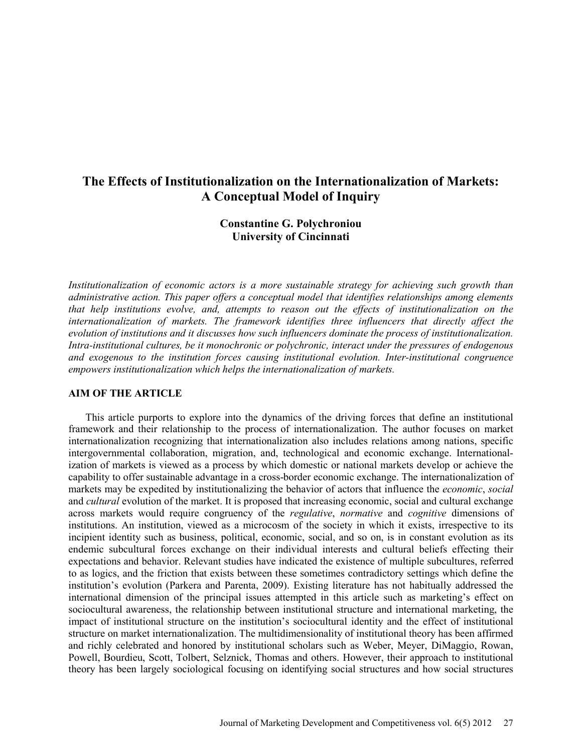# **The Effects of Institutionalization on the Internationalization of Markets: A Conceptual Model of Inquiry**

## **Constantine G. Polychroniou University of Cincinnati**

*Institutionalization of economic actors is a more sustainable strategy for achieving such growth than administrative action. This paper offers a conceptual model that identifies relationships among elements that help institutions evolve, and, attempts to reason out the effects of institutionalization on the internationalization of markets. The framework identifies three influencers that directly affect the evolution of institutions and it discusses how such influencers dominate the process of institutionalization. Intra-institutional cultures, be it monochronic or polychronic, interact under the pressures of endogenous and exogenous to the institution forces causing institutional evolution. Inter-institutional congruence empowers institutionalization which helps the internationalization of markets.* 

#### **AIM OF THE ARTICLE**

This article purports to explore into the dynamics of the driving forces that define an institutional framework and their relationship to the process of internationalization. The author focuses on market internationalization recognizing that internationalization also includes relations among nations, specific intergovernmental collaboration, migration, and, technological and economic exchange. Internationalization of markets is viewed as a process by which domestic or national markets develop or achieve the capability to offer sustainable advantage in a cross-border economic exchange. The internationalization of markets may be expedited by institutionalizing the behavior of actors that influence the *economic*, *social* and *cultural* evolution of the market. It is proposed that increasing economic, social and cultural exchange across markets would require congruency of the *regulative*, *normative* and *cognitive* dimensions of institutions. An institution, viewed as a microcosm of the society in which it exists, irrespective to its incipient identity such as business, political, economic, social, and so on, is in constant evolution as its endemic subcultural forces exchange on their individual interests and cultural beliefs effecting their expectations and behavior. Relevant studies have indicated the existence of multiple subcultures, referred to as logics, and the friction that exists between these sometimes contradictory settings which define the institution's evolution (Parkera and Parenta, 2009). Existing literature has not habitually addressed the international dimension of the principal issues attempted in this article such as marketing's effect on sociocultural awareness, the relationship between institutional structure and international marketing, the impact of institutional structure on the institution's sociocultural identity and the effect of institutional structure on market internationalization. The multidimensionality of institutional theory has been affirmed and richly celebrated and honored by institutional scholars such as Weber, Meyer, DiMaggio, Rowan, Powell, Bourdieu, Scott, Tolbert, Selznick, Thomas and others. However, their approach to institutional theory has been largely sociological focusing on identifying social structures and how social structures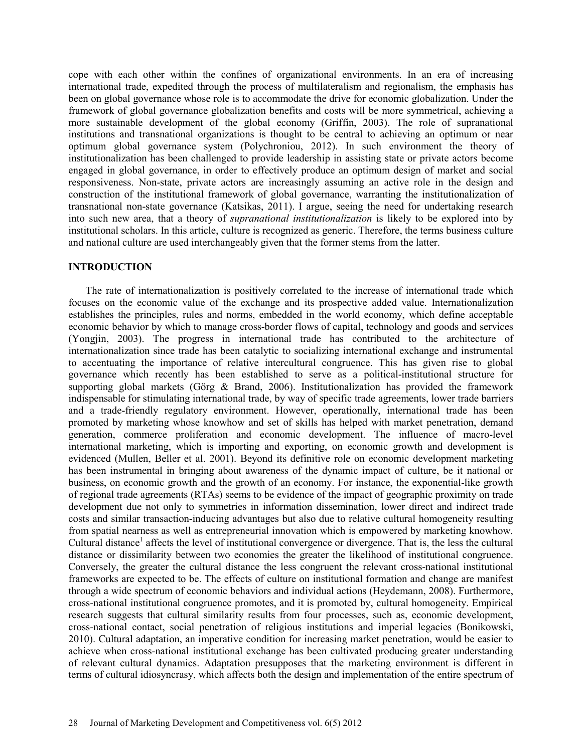cope with each other within the confines of organizational environments. In an era of increasing international trade, expedited through the process of multilateralism and regionalism, the emphasis has been on global governance whose role is to accommodate the drive for economic globalization. Under the framework of global governance globalization benefits and costs will be more symmetrical, achieving a more sustainable development of the global economy (Griffin, 2003). The role of supranational institutions and transnational organizations is thought to be central to achieving an optimum or near optimum global governance system (Polychroniou, 2012). In such environment the theory of institutionalization has been challenged to provide leadership in assisting state or private actors become engaged in global governance, in order to effectively produce an optimum design of market and social responsiveness. Non-state, private actors are increasingly assuming an active role in the design and construction of the institutional framework of global governance, warranting the institutionalization of transnational non-state governance (Katsikas, 2011). I argue, seeing the need for undertaking research into such new area, that a theory of *supranational institutionalization* is likely to be explored into by institutional scholars. In this article, culture is recognized as generic. Therefore, the terms business culture and national culture are used interchangeably given that the former stems from the latter.

## **INTRODUCTION**

The rate of internationalization is positively correlated to the increase of international trade which focuses on the economic value of the exchange and its prospective added value. Internationalization establishes the principles, rules and norms, embedded in the world economy, which define acceptable economic behavior by which to manage cross-border flows of capital, technology and goods and services (Yongjin, 2003). The progress in international trade has contributed to the architecture of internationalization since trade has been catalytic to socializing international exchange and instrumental to accentuating the importance of relative intercultural congruence. This has given rise to global governance which recently has been established to serve as a political-institutional structure for supporting global markets (Görg & Brand, 2006). Institutionalization has provided the framework indispensable for stimulating international trade, by way of specific trade agreements, lower trade barriers and a trade-friendly regulatory environment. However, operationally, international trade has been promoted by marketing whose knowhow and set of skills has helped with market penetration, demand generation, commerce proliferation and economic development. The influence of macro-level international marketing, which is importing and exporting, on economic growth and development is evidenced (Mullen, Beller et al. 2001). Beyond its definitive role on economic development marketing has been instrumental in bringing about awareness of the dynamic impact of culture, be it national or business, on economic growth and the growth of an economy. For instance, the exponential-like growth of regional trade agreements (RTAs) seems to be evidence of the impact of geographic proximity on trade development due not only to symmetries in information dissemination, lower direct and indirect trade costs and similar transaction-inducing advantages but also due to relative cultural homogeneity resulting from spatial nearness as well as entrepreneurial innovation which is empowered by marketing knowhow. Cultural distance<sup>1</sup> affects the level of institutional convergence or divergence. That is, the less the cultural distance or dissimilarity between two economies the greater the likelihood of institutional congruence. Conversely, the greater the cultural distance the less congruent the relevant cross-national institutional frameworks are expected to be. The effects of culture on institutional formation and change are manifest through a wide spectrum of economic behaviors and individual actions (Heydemann, 2008). Furthermore, cross-national institutional congruence promotes, and it is promoted by, cultural homogeneity. Empirical research suggests that cultural similarity results from four processes, such as, economic development, cross-national contact, social penetration of religious institutions and imperial legacies (Bonikowski, 2010). Cultural adaptation, an imperative condition for increasing market penetration, would be easier to achieve when cross-national institutional exchange has been cultivated producing greater understanding of relevant cultural dynamics. Adaptation presupposes that the marketing environment is different in terms of cultural idiosyncrasy, which affects both the design and implementation of the entire spectrum of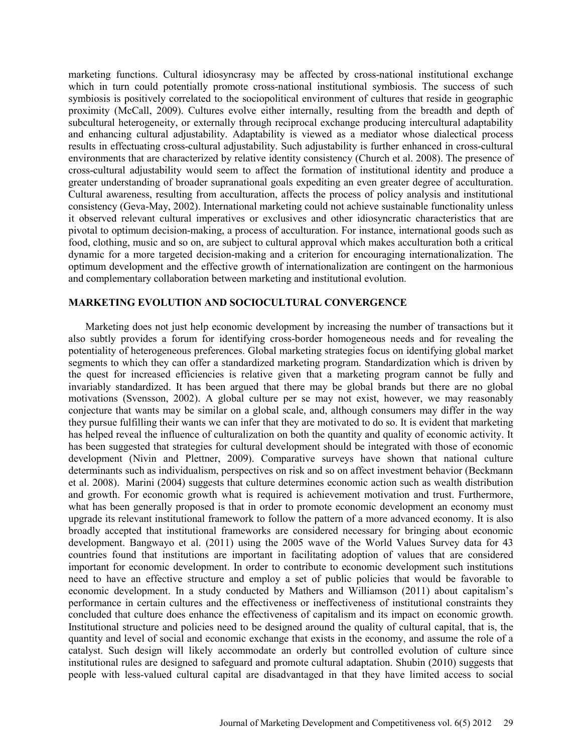marketing functions. Cultural idiosyncrasy may be affected by cross-national institutional exchange which in turn could potentially promote cross-national institutional symbiosis. The success of such symbiosis is positively correlated to the sociopolitical environment of cultures that reside in geographic proximity (McCall, 2009). Cultures evolve either internally, resulting from the breadth and depth of subcultural heterogeneity, or externally through reciprocal exchange producing intercultural adaptability and enhancing cultural adjustability. Adaptability is viewed as a mediator whose dialectical process results in effectuating cross-cultural adjustability. Such adjustability is further enhanced in cross-cultural environments that are characterized by relative identity consistency (Church et al. 2008). The presence of cross-cultural adjustability would seem to affect the formation of institutional identity and produce a greater understanding of broader supranational goals expediting an even greater degree of acculturation. Cultural awareness, resulting from acculturation, affects the process of policy analysis and institutional consistency (Geva-May, 2002). International marketing could not achieve sustainable functionality unless it observed relevant cultural imperatives or exclusives and other idiosyncratic characteristics that are pivotal to optimum decision-making, a process of acculturation. For instance, international goods such as food, clothing, music and so on, are subject to cultural approval which makes acculturation both a critical dynamic for a more targeted decision-making and a criterion for encouraging internationalization. The optimum development and the effective growth of internationalization are contingent on the harmonious and complementary collaboration between marketing and institutional evolution.

### **MARKETING EVOLUTION AND SOCIOCULTURAL CONVERGENCE**

Marketing does not just help economic development by increasing the number of transactions but it also subtly provides a forum for identifying cross-border homogeneous needs and for revealing the potentiality of heterogeneous preferences. Global marketing strategies focus on identifying global market segments to which they can offer a standardized marketing program. Standardization which is driven by the quest for increased efficiencies is relative given that a marketing program cannot be fully and invariably standardized. It has been argued that there may be global brands but there are no global motivations (Svensson, 2002). A global culture per se may not exist, however, we may reasonably conjecture that wants may be similar on a global scale, and, although consumers may differ in the way they pursue fulfilling their wants we can infer that they are motivated to do so. It is evident that marketing has helped reveal the influence of culturalization on both the quantity and quality of economic activity. It has been suggested that strategies for cultural development should be integrated with those of economic development (Nivin and Plettner, 2009). Comparative surveys have shown that national culture determinants such as individualism, perspectives on risk and so on affect investment behavior (Beckmann et al. 2008). Marini (2004) suggests that culture determines economic action such as wealth distribution and growth. For economic growth what is required is achievement motivation and trust. Furthermore, what has been generally proposed is that in order to promote economic development an economy must upgrade its relevant institutional framework to follow the pattern of a more advanced economy. It is also broadly accepted that institutional frameworks are considered necessary for bringing about economic development. Bangwayo et al. (2011) using the 2005 wave of the World Values Survey data for 43 countries found that institutions are important in facilitating adoption of values that are considered important for economic development. In order to contribute to economic development such institutions need to have an effective structure and employ a set of public policies that would be favorable to economic development. In a study conducted by Mathers and Williamson (2011) about capitalism's performance in certain cultures and the effectiveness or ineffectiveness of institutional constraints they concluded that culture does enhance the effectiveness of capitalism and its impact on economic growth. Institutional structure and policies need to be designed around the quality of cultural capital, that is, the quantity and level of social and economic exchange that exists in the economy, and assume the role of a catalyst. Such design will likely accommodate an orderly but controlled evolution of culture since institutional rules are designed to safeguard and promote cultural adaptation. Shubin (2010) suggests that people with less-valued cultural capital are disadvantaged in that they have limited access to social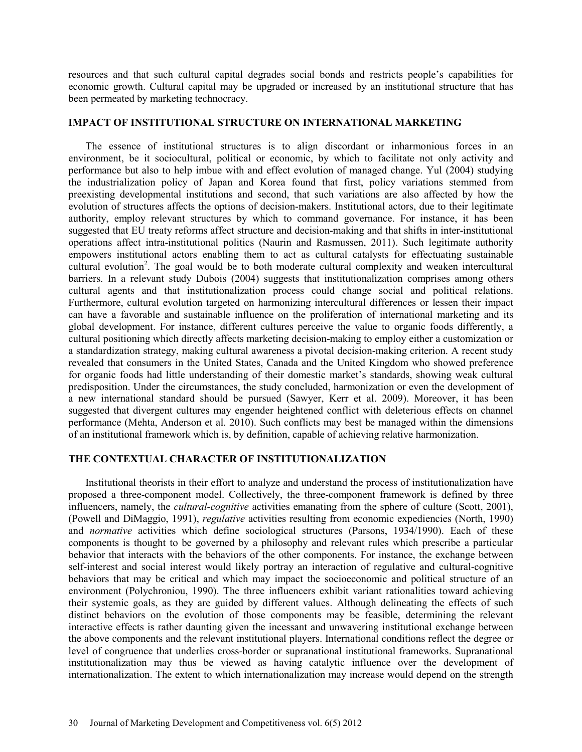resources and that such cultural capital degrades social bonds and restricts people's capabilities for economic growth. Cultural capital may be upgraded or increased by an institutional structure that has been permeated by marketing technocracy.

#### **IMPACT OF INSTITUTIONAL STRUCTURE ON INTERNATIONAL MARKETING**

The essence of institutional structures is to align discordant or inharmonious forces in an environment, be it sociocultural, political or economic, by which to facilitate not only activity and performance but also to help imbue with and effect evolution of managed change. Yul (2004) studying the industrialization policy of Japan and Korea found that first, policy variations stemmed from preexisting developmental institutions and second, that such variations are also affected by how the evolution of structures affects the options of decision-makers. Institutional actors, due to their legitimate authority, employ relevant structures by which to command governance. For instance, it has been suggested that EU treaty reforms affect structure and decision-making and that shifts in inter-institutional operations affect intra-institutional politics (Naurin and Rasmussen, 2011). Such legitimate authority empowers institutional actors enabling them to act as cultural catalysts for effectuating sustainable cultural evolution<sup>2</sup>. The goal would be to both moderate cultural complexity and weaken intercultural barriers. In a relevant study Dubois (2004) suggests that institutionalization comprises among others cultural agents and that institutionalization process could change social and political relations. Furthermore, cultural evolution targeted on harmonizing intercultural differences or lessen their impact can have a favorable and sustainable influence on the proliferation of international marketing and its global development. For instance, different cultures perceive the value to organic foods differently, a cultural positioning which directly affects marketing decision-making to employ either a customization or a standardization strategy, making cultural awareness a pivotal decision-making criterion. A recent study revealed that consumers in the United States, Canada and the United Kingdom who showed preference for organic foods had little understanding of their domestic market's standards, showing weak cultural predisposition. Under the circumstances, the study concluded, harmonization or even the development of a new international standard should be pursued (Sawyer, Kerr et al. 2009). Moreover, it has been suggested that divergent cultures may engender heightened conflict with deleterious effects on channel performance (Mehta, Anderson et al. 2010). Such conflicts may best be managed within the dimensions of an institutional framework which is, by definition, capable of achieving relative harmonization.

#### **THE CONTEXTUAL CHARACTER OF INSTITUTIONALIZATION**

Institutional theorists in their effort to analyze and understand the process of institutionalization have proposed a three-component model. Collectively, the three-component framework is defined by three influencers, namely, the *cultural-cognitive* activities emanating from the sphere of culture (Scott, 2001), (Powell and DiMaggio, 1991), *regulative* activities resulting from economic expediencies (North, 1990) and *normative* activities which define sociological structures (Parsons, 1934/1990). Each of these components is thought to be governed by a philosophy and relevant rules which prescribe a particular behavior that interacts with the behaviors of the other components. For instance, the exchange between self-interest and social interest would likely portray an interaction of regulative and cultural-cognitive behaviors that may be critical and which may impact the socioeconomic and political structure of an environment (Polychroniou, 1990). The three influencers exhibit variant rationalities toward achieving their systemic goals, as they are guided by different values. Although delineating the effects of such distinct behaviors on the evolution of those components may be feasible, determining the relevant interactive effects is rather daunting given the incessant and unwavering institutional exchange between the above components and the relevant institutional players. International conditions reflect the degree or level of congruence that underlies cross-border or supranational institutional frameworks. Supranational institutionalization may thus be viewed as having catalytic influence over the development of internationalization. The extent to which internationalization may increase would depend on the strength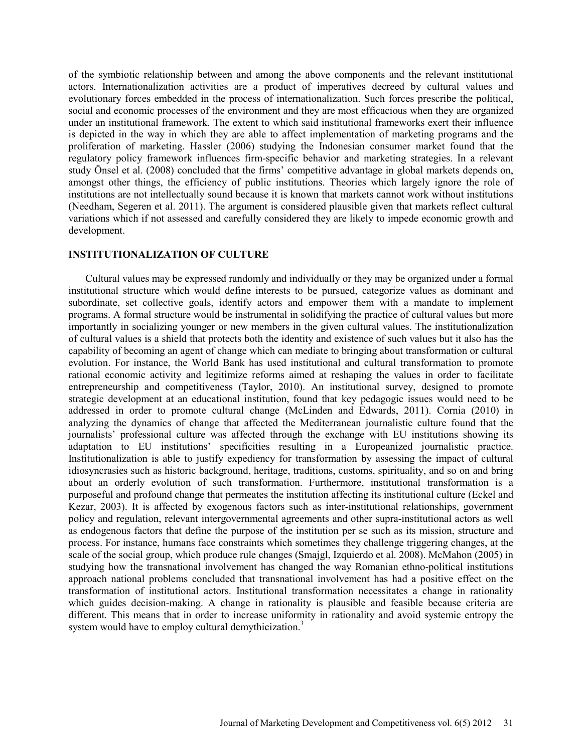of the symbiotic relationship between and among the above components and the relevant institutional actors. Internationalization activities are a product of imperatives decreed by cultural values and evolutionary forces embedded in the process of internationalization. Such forces prescribe the political, social and economic processes of the environment and they are most efficacious when they are organized under an institutional framework. The extent to which said institutional frameworks exert their influence is depicted in the way in which they are able to affect implementation of marketing programs and the proliferation of marketing. Hassler (2006) studying the Indonesian consumer market found that the regulatory policy framework influences firm-specific behavior and marketing strategies. In a relevant study Önsel et al. (2008) concluded that the firms' competitive advantage in global markets depends on, amongst other things, the efficiency of public institutions. Theories which largely ignore the role of institutions are not intellectually sound because it is known that markets cannot work without institutions (Needham, Segeren et al. 2011). The argument is considered plausible given that markets reflect cultural variations which if not assessed and carefully considered they are likely to impede economic growth and development.

#### **INSTITUTIONALIZATION OF CULTURE**

Cultural values may be expressed randomly and individually or they may be organized under a formal institutional structure which would define interests to be pursued, categorize values as dominant and subordinate, set collective goals, identify actors and empower them with a mandate to implement programs. A formal structure would be instrumental in solidifying the practice of cultural values but more importantly in socializing younger or new members in the given cultural values. The institutionalization of cultural values is a shield that protects both the identity and existence of such values but it also has the capability of becoming an agent of change which can mediate to bringing about transformation or cultural evolution. For instance, the World Bank has used institutional and cultural transformation to promote rational economic activity and legitimize reforms aimed at reshaping the values in order to facilitate entrepreneurship and competitiveness (Taylor, 2010). An institutional survey, designed to promote strategic development at an educational institution, found that key pedagogic issues would need to be addressed in order to promote cultural change (McLinden and Edwards, 2011). Cornia (2010) in analyzing the dynamics of change that affected the Mediterranean journalistic culture found that the journalists' professional culture was affected through the exchange with EU institutions showing its adaptation to EU institutions' specificities resulting in a Europeanized journalistic practice. Institutionalization is able to justify expediency for transformation by assessing the impact of cultural idiosyncrasies such as historic background, heritage, traditions, customs, spirituality, and so on and bring about an orderly evolution of such transformation. Furthermore, institutional transformation is a purposeful and profound change that permeates the institution affecting its institutional culture (Eckel and Kezar, 2003). It is affected by exogenous factors such as inter-institutional relationships, government policy and regulation, relevant intergovernmental agreements and other supra-institutional actors as well as endogenous factors that define the purpose of the institution per se such as its mission, structure and process. For instance, humans face constraints which sometimes they challenge triggering changes, at the scale of the social group, which produce rule changes (Smajgl, Izquierdo et al. 2008). McMahon (2005) in studying how the transnational involvement has changed the way Romanian ethno-political institutions approach national problems concluded that transnational involvement has had a positive effect on the transformation of institutional actors. Institutional transformation necessitates a change in rationality which guides decision-making. A change in rationality is plausible and feasible because criteria are different. This means that in order to increase uniformity in rationality and avoid systemic entropy the system would have to employ cultural demythicization.<sup>3</sup>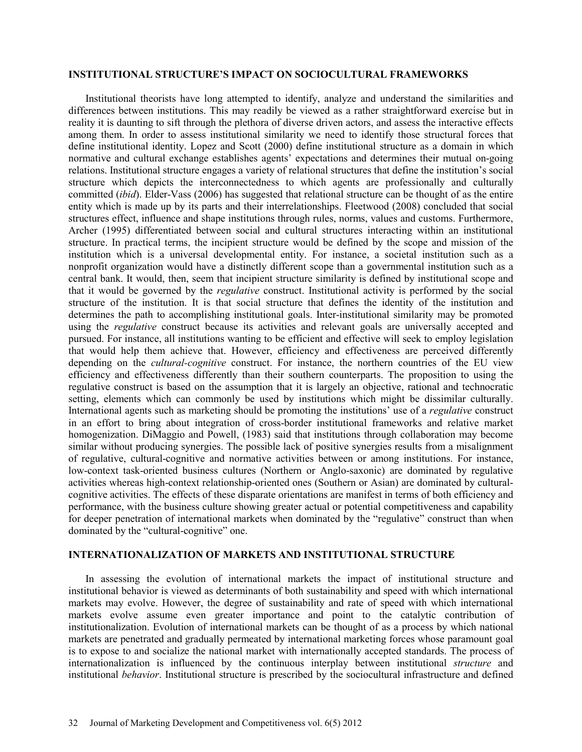### **INSTITUTIONAL STRUCTURE'S IMPACT ON SOCIOCULTURAL FRAMEWORKS**

Institutional theorists have long attempted to identify, analyze and understand the similarities and differences between institutions. This may readily be viewed as a rather straightforward exercise but in reality it is daunting to sift through the plethora of diverse driven actors, and assess the interactive effects among them. In order to assess institutional similarity we need to identify those structural forces that define institutional identity. Lopez and Scott (2000) define institutional structure as a domain in which normative and cultural exchange establishes agents' expectations and determines their mutual on-going relations. Institutional structure engages a variety of relational structures that define the institution's social structure which depicts the interconnectedness to which agents are professionally and culturally committed (*ibid*). Elder-Vass (2006) has suggested that relational structure can be thought of as the entire entity which is made up by its parts and their interrelationships. Fleetwood (2008) concluded that social structures effect, influence and shape institutions through rules, norms, values and customs. Furthermore, Archer (1995) differentiated between social and cultural structures interacting within an institutional structure. In practical terms, the incipient structure would be defined by the scope and mission of the institution which is a universal developmental entity. For instance, a societal institution such as a nonprofit organization would have a distinctly different scope than a governmental institution such as a central bank. It would, then, seem that incipient structure similarity is defined by institutional scope and that it would be governed by the *regulative* construct. Institutional activity is performed by the social structure of the institution. It is that social structure that defines the identity of the institution and determines the path to accomplishing institutional goals. Inter-institutional similarity may be promoted using the *regulative* construct because its activities and relevant goals are universally accepted and pursued. For instance, all institutions wanting to be efficient and effective will seek to employ legislation that would help them achieve that. However, efficiency and effectiveness are perceived differently depending on the *cultural-cognitive* construct. For instance, the northern countries of the EU view efficiency and effectiveness differently than their southern counterparts. The proposition to using the regulative construct is based on the assumption that it is largely an objective, rational and technocratic setting, elements which can commonly be used by institutions which might be dissimilar culturally. International agents such as marketing should be promoting the institutions' use of a *regulative* construct in an effort to bring about integration of cross-border institutional frameworks and relative market homogenization. DiMaggio and Powell, (1983) said that institutions through collaboration may become similar without producing synergies. The possible lack of positive synergies results from a misalignment of regulative, cultural-cognitive and normative activities between or among institutions. For instance, low-context task-oriented business cultures (Northern or Anglo-saxonic) are dominated by regulative activities whereas high-context relationship-oriented ones (Southern or Asian) are dominated by culturalcognitive activities. The effects of these disparate orientations are manifest in terms of both efficiency and performance, with the business culture showing greater actual or potential competitiveness and capability for deeper penetration of international markets when dominated by the "regulative" construct than when dominated by the "cultural-cognitive" one.

### **INTERNATIONALIZATION OF MARKETS AND INSTITUTIONAL STRUCTURE**

In assessing the evolution of international markets the impact of institutional structure and institutional behavior is viewed as determinants of both sustainability and speed with which international markets may evolve. However, the degree of sustainability and rate of speed with which international markets evolve assume even greater importance and point to the catalytic contribution of institutionalization. Evolution of international markets can be thought of as a process by which national markets are penetrated and gradually permeated by international marketing forces whose paramount goal is to expose to and socialize the national market with internationally accepted standards. The process of internationalization is influenced by the continuous interplay between institutional *structure* and institutional *behavior*. Institutional structure is prescribed by the sociocultural infrastructure and defined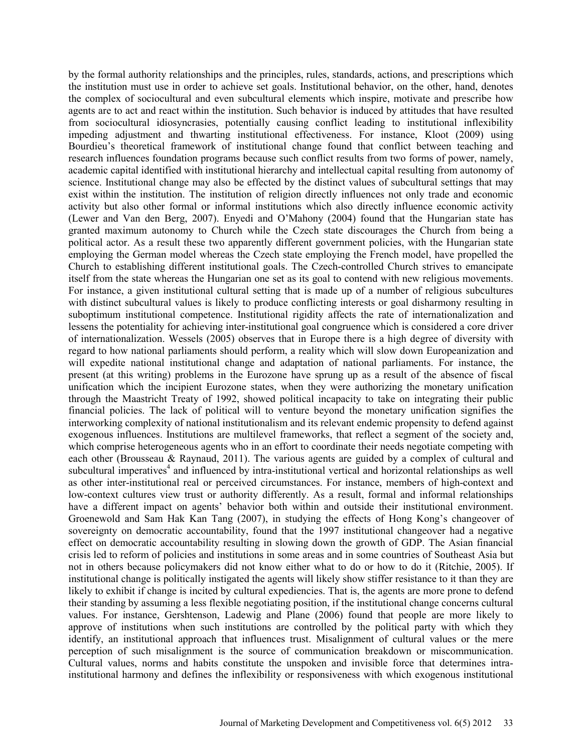by the formal authority relationships and the principles, rules, standards, actions, and prescriptions which the institution must use in order to achieve set goals. Institutional behavior, on the other, hand, denotes the complex of sociocultural and even subcultural elements which inspire, motivate and prescribe how agents are to act and react within the institution. Such behavior is induced by attitudes that have resulted from sociocultural idiosyncrasies, potentially causing conflict leading to institutional inflexibility impeding adjustment and thwarting institutional effectiveness. For instance, Kloot (2009) using Bourdieu's theoretical framework of institutional change found that conflict between teaching and research influences foundation programs because such conflict results from two forms of power, namely, academic capital identified with institutional hierarchy and intellectual capital resulting from autonomy of science. Institutional change may also be effected by the distinct values of subcultural settings that may exist within the institution. The institution of religion directly influences not only trade and economic activity but also other formal or informal institutions which also directly influence economic activity (Lewer and Van den Berg, 2007). Enyedi and O'Mahony (2004) found that the Hungarian state has granted maximum autonomy to Church while the Czech state discourages the Church from being a political actor. As a result these two apparently different government policies, with the Hungarian state employing the German model whereas the Czech state employing the French model, have propelled the Church to establishing different institutional goals. The Czech-controlled Church strives to emancipate itself from the state whereas the Hungarian one set as its goal to contend with new religious movements. For instance, a given institutional cultural setting that is made up of a number of religious subcultures with distinct subcultural values is likely to produce conflicting interests or goal disharmony resulting in suboptimum institutional competence. Institutional rigidity affects the rate of internationalization and lessens the potentiality for achieving inter-institutional goal congruence which is considered a core driver of internationalization. Wessels (2005) observes that in Europe there is a high degree of diversity with regard to how national parliaments should perform, a reality which will slow down Europeanization and will expedite national institutional change and adaptation of national parliaments. For instance, the present (at this writing) problems in the Eurozone have sprung up as a result of the absence of fiscal unification which the incipient Eurozone states, when they were authorizing the monetary unification through the Maastricht Treaty of 1992, showed political incapacity to take on integrating their public financial policies. The lack of political will to venture beyond the monetary unification signifies the interworking complexity of national institutionalism and its relevant endemic propensity to defend against exogenous influences. Institutions are multilevel frameworks, that reflect a segment of the society and, which comprise heterogeneous agents who in an effort to coordinate their needs negotiate competing with each other (Brousseau & Raynaud, 2011). The various agents are guided by a complex of cultural and subcultural imperatives<sup>4</sup> and influenced by intra-institutional vertical and horizontal relationships as well as other inter-institutional real or perceived circumstances. For instance, members of high-context and low-context cultures view trust or authority differently. As a result, formal and informal relationships have a different impact on agents' behavior both within and outside their institutional environment. Groenewold and Sam Hak Kan Tang (2007), in studying the effects of Hong Kong's changeover of sovereignty on democratic accountability, found that the 1997 institutional changeover had a negative effect on democratic accountability resulting in slowing down the growth of GDP. The Asian financial crisis led to reform of policies and institutions in some areas and in some countries of Southeast Asia but not in others because policymakers did not know either what to do or how to do it (Ritchie, 2005). If institutional change is politically instigated the agents will likely show stiffer resistance to it than they are likely to exhibit if change is incited by cultural expediencies. That is, the agents are more prone to defend their standing by assuming a less flexible negotiating position, if the institutional change concerns cultural values. For instance, Gershtenson, Ladewig and Plane (2006) found that people are more likely to approve of institutions when such institutions are controlled by the political party with which they identify, an institutional approach that influences trust. Misalignment of cultural values or the mere perception of such misalignment is the source of communication breakdown or miscommunication. Cultural values, norms and habits constitute the unspoken and invisible force that determines intrainstitutional harmony and defines the inflexibility or responsiveness with which exogenous institutional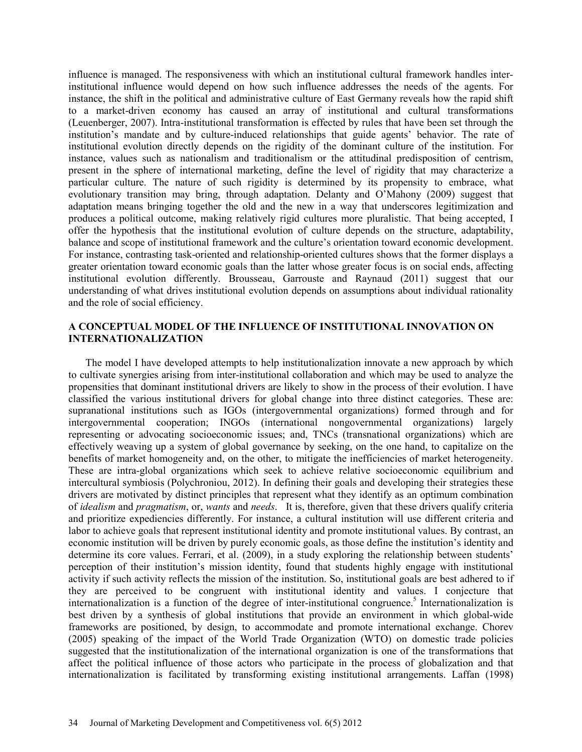influence is managed. The responsiveness with which an institutional cultural framework handles interinstitutional influence would depend on how such influence addresses the needs of the agents. For instance, the shift in the political and administrative culture of East Germany reveals how the rapid shift to a market-driven economy has caused an array of institutional and cultural transformations (Leuenberger, 2007). Intra-institutional transformation is effected by rules that have been set through the institution's mandate and by culture-induced relationships that guide agents' behavior. The rate of institutional evolution directly depends on the rigidity of the dominant culture of the institution. For instance, values such as nationalism and traditionalism or the attitudinal predisposition of centrism, present in the sphere of international marketing, define the level of rigidity that may characterize a particular culture. The nature of such rigidity is determined by its propensity to embrace, what evolutionary transition may bring, through adaptation. Delanty and O'Mahony (2009) suggest that adaptation means bringing together the old and the new in a way that underscores legitimization and produces a political outcome, making relatively rigid cultures more pluralistic. That being accepted, I offer the hypothesis that the institutional evolution of culture depends on the structure, adaptability, balance and scope of institutional framework and the culture's orientation toward economic development. For instance, contrasting task-oriented and relationship-oriented cultures shows that the former displays a greater orientation toward economic goals than the latter whose greater focus is on social ends, affecting institutional evolution differently. Brousseau, Garrouste and Raynaud (2011) suggest that our understanding of what drives institutional evolution depends on assumptions about individual rationality and the role of social efficiency.

## **A CONCEPTUAL MODEL OF THE INFLUENCE OF INSTITUTIONAL INNOVATION ON INTERNATIONALIZATION**

The model I have developed attempts to help institutionalization innovate a new approach by which to cultivate synergies arising from inter-institutional collaboration and which may be used to analyze the propensities that dominant institutional drivers are likely to show in the process of their evolution. I have classified the various institutional drivers for global change into three distinct categories. These are: supranational institutions such as IGOs (intergovernmental organizations) formed through and for intergovernmental cooperation; INGOs (international nongovernmental organizations) largely representing or advocating socioeconomic issues; and, TNCs (transnational organizations) which are effectively weaving up a system of global governance by seeking, on the one hand, to capitalize on the benefits of market homogeneity and, on the other, to mitigate the inefficiencies of market heterogeneity. These are intra-global organizations which seek to achieve relative socioeconomic equilibrium and intercultural symbiosis (Polychroniou, 2012). In defining their goals and developing their strategies these drivers are motivated by distinct principles that represent what they identify as an optimum combination of *idealism* and *pragmatism*, or, *wants* and *needs*. It is, therefore, given that these drivers qualify criteria and prioritize expediencies differently. For instance, a cultural institution will use different criteria and labor to achieve goals that represent institutional identity and promote institutional values. By contrast, an economic institution will be driven by purely economic goals, as those define the institution's identity and determine its core values. Ferrari, et al. (2009), in a study exploring the relationship between students' perception of their institution's mission identity, found that students highly engage with institutional activity if such activity reflects the mission of the institution. So, institutional goals are best adhered to if they are perceived to be congruent with institutional identity and values. I conjecture that internationalization is a function of the degree of inter-institutional congruence.<sup>5</sup> Internationalization is best driven by a synthesis of global institutions that provide an environment in which global-wide frameworks are positioned, by design, to accommodate and promote international exchange. Chorev (2005) speaking of the impact of the World Trade Organization (WTO) on domestic trade policies suggested that the institutionalization of the international organization is one of the transformations that affect the political influence of those actors who participate in the process of globalization and that internationalization is facilitated by transforming existing institutional arrangements. Laffan (1998)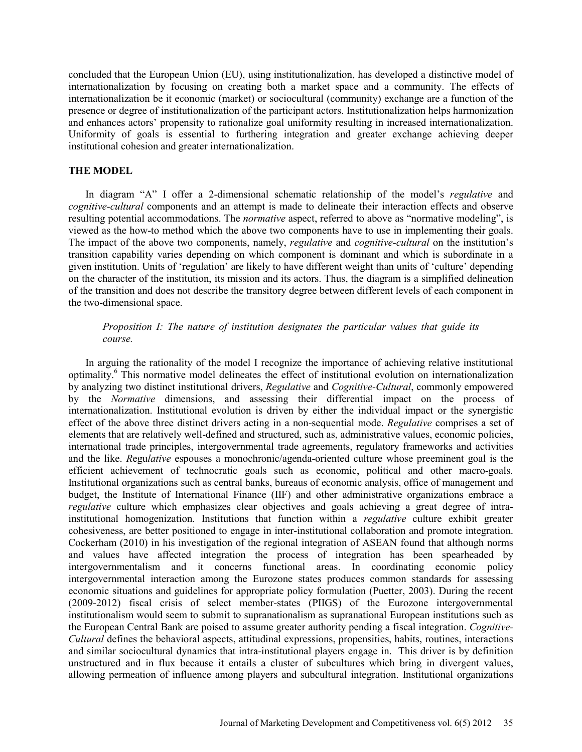concluded that the European Union (EU), using institutionalization, has developed a distinctive model of internationalization by focusing on creating both a market space and a community. The effects of internationalization be it economic (market) or sociocultural (community) exchange are a function of the presence or degree of institutionalization of the participant actors. Institutionalization helps harmonization and enhances actors' propensity to rationalize goal uniformity resulting in increased internationalization. Uniformity of goals is essential to furthering integration and greater exchange achieving deeper institutional cohesion and greater internationalization.

### **THE MODEL**

In diagram "A" I offer a 2-dimensional schematic relationship of the model's *regulative* and *cognitive-cultural* components and an attempt is made to delineate their interaction effects and observe resulting potential accommodations. The *normative* aspect, referred to above as "normative modeling", is viewed as the how-to method which the above two components have to use in implementing their goals. The impact of the above two components, namely, *regulative* and *cognitive-cultural* on the institution's transition capability varies depending on which component is dominant and which is subordinate in a given institution. Units of 'regulation' are likely to have different weight than units of 'culture' depending on the character of the institution, its mission and its actors. Thus, the diagram is a simplified delineation of the transition and does not describe the transitory degree between different levels of each component in the two-dimensional space.

## *Proposition I: The nature of institution designates the particular values that guide its course.*

In arguing the rationality of the model I recognize the importance of achieving relative institutional optimality.6 This normative model delineates the effect of institutional evolution on internationalization by analyzing two distinct institutional drivers, *Regulative* and *Cognitive-Cultural*, commonly empowered by the *Normative* dimensions, and assessing their differential impact on the process of internationalization. Institutional evolution is driven by either the individual impact or the synergistic effect of the above three distinct drivers acting in a non-sequential mode. *Regulative* comprises a set of elements that are relatively well-defined and structured, such as, administrative values, economic policies, international trade principles, intergovernmental trade agreements, regulatory frameworks and activities and the like. *R*egu*lative* espouses a monochronic/agenda-oriented culture whose preeminent goal is the efficient achievement of technocratic goals such as economic, political and other macro-goals. Institutional organizations such as central banks, bureaus of economic analysis, office of management and budget, the Institute of International Finance (IIF) and other administrative organizations embrace a *regulative* culture which emphasizes clear objectives and goals achieving a great degree of intrainstitutional homogenization. Institutions that function within a *regulative* culture exhibit greater cohesiveness, are better positioned to engage in inter-institutional collaboration and promote integration. Cockerham (2010) in his investigation of the regional integration of ASEAN found that although norms and values have affected integration the process of integration has been spearheaded by intergovernmentalism and it concerns functional areas. In coordinating economic policy intergovernmental interaction among the Eurozone states produces common standards for assessing economic situations and guidelines for appropriate policy formulation (Puetter, 2003). During the recent (2009-2012) fiscal crisis of select member-states (PIIGS) of the Eurozone intergovernmental institutionalism would seem to submit to supranationalism as supranational European institutions such as the European Central Bank are poised to assume greater authority pending a fiscal integration. *Cognitive-Cultural* defines the behavioral aspects, attitudinal expressions, propensities, habits, routines, interactions and similar sociocultural dynamics that intra-institutional players engage in. This driver is by definition unstructured and in flux because it entails a cluster of subcultures which bring in divergent values, allowing permeation of influence among players and subcultural integration. Institutional organizations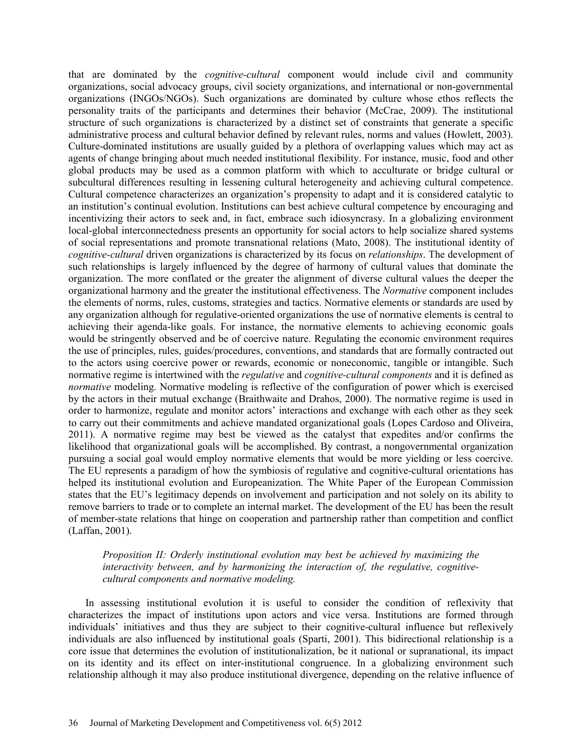that are dominated by the *cognitive-cultural* component would include civil and community organizations, social advocacy groups, civil society organizations, and international or non-governmental organizations (INGOs/NGOs). Such organizations are dominated by culture whose ethos reflects the personality traits of the participants and determines their behavior (McCrae, 2009). The institutional structure of such organizations is characterized by a distinct set of constraints that generate a specific administrative process and cultural behavior defined by relevant rules, norms and values (Howlett, 2003). Culture-dominated institutions are usually guided by a plethora of overlapping values which may act as agents of change bringing about much needed institutional flexibility. For instance, music, food and other global products may be used as a common platform with which to acculturate or bridge cultural or subcultural differences resulting in lessening cultural heterogeneity and achieving cultural competence. Cultural competence characterizes an organization's propensity to adapt and it is considered catalytic to an institution's continual evolution. Institutions can best achieve cultural competence by encouraging and incentivizing their actors to seek and, in fact, embrace such idiosyncrasy. In a globalizing environment local-global interconnectedness presents an opportunity for social actors to help socialize shared systems of social representations and promote transnational relations (Mato, 2008). The institutional identity of *cognitive-cultural* driven organizations is characterized by its focus on *relationships*. The development of such relationships is largely influenced by the degree of harmony of cultural values that dominate the organization. The more conflated or the greater the alignment of diverse cultural values the deeper the organizational harmony and the greater the institutional effectiveness. The *Normative* component includes the elements of norms, rules, customs, strategies and tactics. Normative elements or standards are used by any organization although for regulative-oriented organizations the use of normative elements is central to achieving their agenda-like goals. For instance, the normative elements to achieving economic goals would be stringently observed and be of coercive nature. Regulating the economic environment requires the use of principles, rules, guides/procedures, conventions, and standards that are formally contracted out to the actors using coercive power or rewards, economic or noneconomic, tangible or intangible. Such normative regime is intertwined with the *regulative* and *cognitive-cultural components* and it is defined as *normative* modeling. Normative modeling is reflective of the configuration of power which is exercised by the actors in their mutual exchange (Braithwaite and Drahos, 2000). The normative regime is used in order to harmonize, regulate and monitor actors' interactions and exchange with each other as they seek to carry out their commitments and achieve mandated organizational goals (Lopes Cardoso and Oliveira, 2011). A normative regime may best be viewed as the catalyst that expedites and/or confirms the likelihood that organizational goals will be accomplished. By contrast, a nongovernmental organization pursuing a social goal would employ normative elements that would be more yielding or less coercive. The EU represents a paradigm of how the symbiosis of regulative and cognitive-cultural orientations has helped its institutional evolution and Europeanization. The White Paper of the European Commission states that the EU's legitimacy depends on involvement and participation and not solely on its ability to remove barriers to trade or to complete an internal market. The development of the EU has been the result of member-state relations that hinge on cooperation and partnership rather than competition and conflict (Laffan, 2001).

## *Proposition II: Orderly institutional evolution may best be achieved by maximizing the interactivity between, and by harmonizing the interaction of, the regulative, cognitivecultural components and normative modeling.*

In assessing institutional evolution it is useful to consider the condition of reflexivity that characterizes the impact of institutions upon actors and vice versa. Institutions are formed through individuals' initiatives and thus they are subject to their cognitive-cultural influence but reflexively individuals are also influenced by institutional goals (Sparti, 2001). This bidirectional relationship is a core issue that determines the evolution of institutionalization, be it national or supranational, its impact on its identity and its effect on inter-institutional congruence. In a globalizing environment such relationship although it may also produce institutional divergence, depending on the relative influence of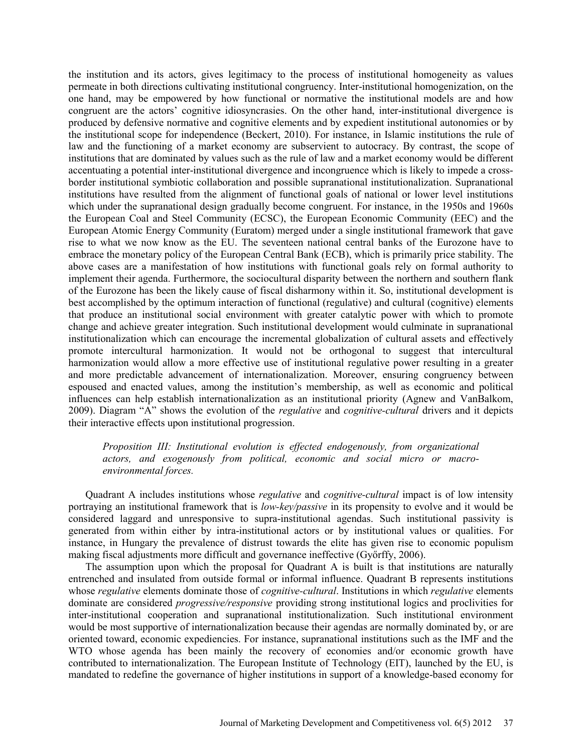the institution and its actors, gives legitimacy to the process of institutional homogeneity as values permeate in both directions cultivating institutional congruency. Inter-institutional homogenization, on the one hand, may be empowered by how functional or normative the institutional models are and how congruent are the actors' cognitive idiosyncrasies. On the other hand, inter-institutional divergence is produced by defensive normative and cognitive elements and by expedient institutional autonomies or by the institutional scope for independence (Beckert, 2010). For instance, in Islamic institutions the rule of law and the functioning of a market economy are subservient to autocracy. By contrast, the scope of institutions that are dominated by values such as the rule of law and a market economy would be different accentuating a potential inter-institutional divergence and incongruence which is likely to impede a crossborder institutional symbiotic collaboration and possible supranational institutionalization. Supranational institutions have resulted from the alignment of functional goals of national or lower level institutions which under the supranational design gradually become congruent. For instance, in the 1950s and 1960s the European Coal and Steel Community (ECSC), the European Economic Community (EEC) and the European Atomic Energy Community (Euratom) merged under a single institutional framework that gave rise to what we now know as the EU. The seventeen national central banks of the Eurozone have to embrace the monetary policy of the European Central Bank (ECB), which is primarily price stability. The above cases are a manifestation of how institutions with functional goals rely on formal authority to implement their agenda. Furthermore, the sociocultural disparity between the northern and southern flank of the Eurozone has been the likely cause of fiscal disharmony within it. So, institutional development is best accomplished by the optimum interaction of functional (regulative) and cultural (cognitive) elements that produce an institutional social environment with greater catalytic power with which to promote change and achieve greater integration. Such institutional development would culminate in supranational institutionalization which can encourage the incremental globalization of cultural assets and effectively promote intercultural harmonization. It would not be orthogonal to suggest that intercultural harmonization would allow a more effective use of institutional regulative power resulting in a greater and more predictable advancement of internationalization. Moreover, ensuring congruency between espoused and enacted values, among the institution's membership, as well as economic and political influences can help establish internationalization as an institutional priority (Agnew and VanBalkom, 2009). Diagram "A" shows the evolution of the *regulative* and *cognitive-cultural* drivers and it depicts their interactive effects upon institutional progression.

## *Proposition III: Institutional evolution is effected endogenously, from organizational actors, and exogenously from political, economic and social micro or macroenvironmental forces.*

Quadrant A includes institutions whose *regulative* and *cognitive-cultural* impact is of low intensity portraying an institutional framework that is *low-key/passive* in its propensity to evolve and it would be considered laggard and unresponsive to supra-institutional agendas. Such institutional passivity is generated from within either by intra-institutional actors or by institutional values or qualities. For instance, in Hungary the prevalence of distrust towards the elite has given rise to economic populism making fiscal adjustments more difficult and governance ineffective (Győrffy, 2006).

The assumption upon which the proposal for Quadrant A is built is that institutions are naturally entrenched and insulated from outside formal or informal influence. Quadrant B represents institutions whose *regulative* elements dominate those of *cognitive-cultural*. Institutions in which *regulative* elements dominate are considered *progressive/responsive* providing strong institutional logics and proclivities for inter-institutional cooperation and supranational institutionalization. Such institutional environment would be most supportive of internationalization because their agendas are normally dominated by, or are oriented toward, economic expediencies. For instance, supranational institutions such as the IMF and the WTO whose agenda has been mainly the recovery of economies and/or economic growth have contributed to internationalization. The European Institute of Technology (EIT), launched by the EU, is mandated to redefine the governance of higher institutions in support of a knowledge-based economy for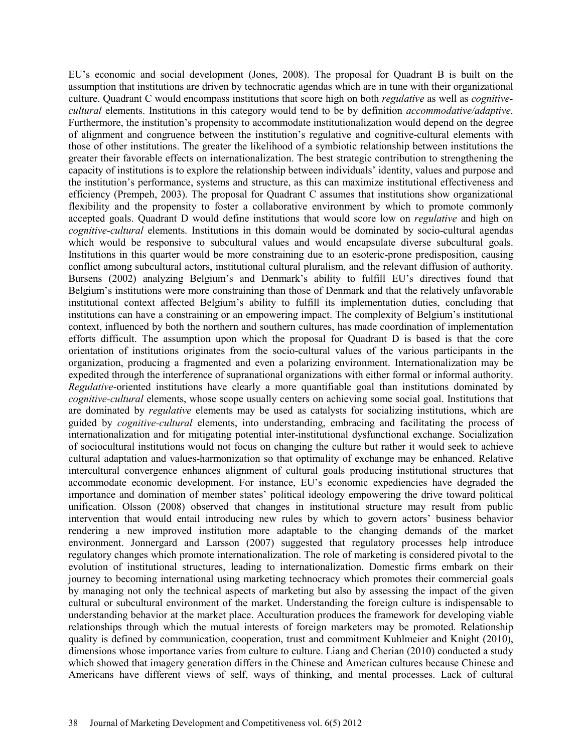EU's economic and social development (Jones, 2008). The proposal for Quadrant B is built on the assumption that institutions are driven by technocratic agendas which are in tune with their organizational culture. Quadrant C would encompass institutions that score high on both *regulative* as well as *cognitivecultural* elements. Institutions in this category would tend to be by definition *accommodative/adaptive*. Furthermore, the institution's propensity to accommodate institutionalization would depend on the degree of alignment and congruence between the institution's regulative and cognitive-cultural elements with those of other institutions. The greater the likelihood of a symbiotic relationship between institutions the greater their favorable effects on internationalization. The best strategic contribution to strengthening the capacity of institutions is to explore the relationship between individuals' identity, values and purpose and the institution's performance, systems and structure, as this can maximize institutional effectiveness and efficiency (Prempeh, 2003). The proposal for Quadrant C assumes that institutions show organizational flexibility and the propensity to foster a collaborative environment by which to promote commonly accepted goals. Quadrant D would define institutions that would score low on *regulative* and high on *cognitive-cultural* elements. Institutions in this domain would be dominated by socio-cultural agendas which would be responsive to subcultural values and would encapsulate diverse subcultural goals. Institutions in this quarter would be more constraining due to an esoteric-prone predisposition, causing conflict among subcultural actors, institutional cultural pluralism, and the relevant diffusion of authority. Bursens (2002) analyzing Belgium's and Denmark's ability to fulfill EU's directives found that Belgium's institutions were more constraining than those of Denmark and that the relatively unfavorable institutional context affected Belgium's ability to fulfill its implementation duties, concluding that institutions can have a constraining or an empowering impact. The complexity of Belgium's institutional context, influenced by both the northern and southern cultures, has made coordination of implementation efforts difficult. The assumption upon which the proposal for Quadrant D is based is that the core orientation of institutions originates from the socio-cultural values of the various participants in the organization, producing a fragmented and even a polarizing environment. Internationalization may be expedited through the interference of supranational organizations with either formal or informal authority. *Regulative*-oriented institutions have clearly a more quantifiable goal than institutions dominated by *cognitive-cultural* elements, whose scope usually centers on achieving some social goal. Institutions that are dominated by *regulative* elements may be used as catalysts for socializing institutions, which are guided by *cognitive-cultural* elements, into understanding, embracing and facilitating the process of internationalization and for mitigating potential inter-institutional dysfunctional exchange. Socialization of sociocultural institutions would not focus on changing the culture but rather it would seek to achieve cultural adaptation and values-harmonization so that optimality of exchange may be enhanced. Relative intercultural convergence enhances alignment of cultural goals producing institutional structures that accommodate economic development. For instance, EU's economic expediencies have degraded the importance and domination of member states' political ideology empowering the drive toward political unification. Olsson (2008) observed that changes in institutional structure may result from public intervention that would entail introducing new rules by which to govern actors' business behavior rendering a new improved institution more adaptable to the changing demands of the market environment. Jonnergard and Larsson (2007) suggested that regulatory processes help introduce regulatory changes which promote internationalization. The role of marketing is considered pivotal to the evolution of institutional structures, leading to internationalization. Domestic firms embark on their journey to becoming international using marketing technocracy which promotes their commercial goals by managing not only the technical aspects of marketing but also by assessing the impact of the given cultural or subcultural environment of the market. Understanding the foreign culture is indispensable to understanding behavior at the market place. Acculturation produces the framework for developing viable relationships through which the mutual interests of foreign marketers may be promoted. Relationship quality is defined by communication, cooperation, trust and commitment Kuhlmeier and Knight (2010), dimensions whose importance varies from culture to culture. Liang and Cherian (2010) conducted a study which showed that imagery generation differs in the Chinese and American cultures because Chinese and Americans have different views of self, ways of thinking, and mental processes. Lack of cultural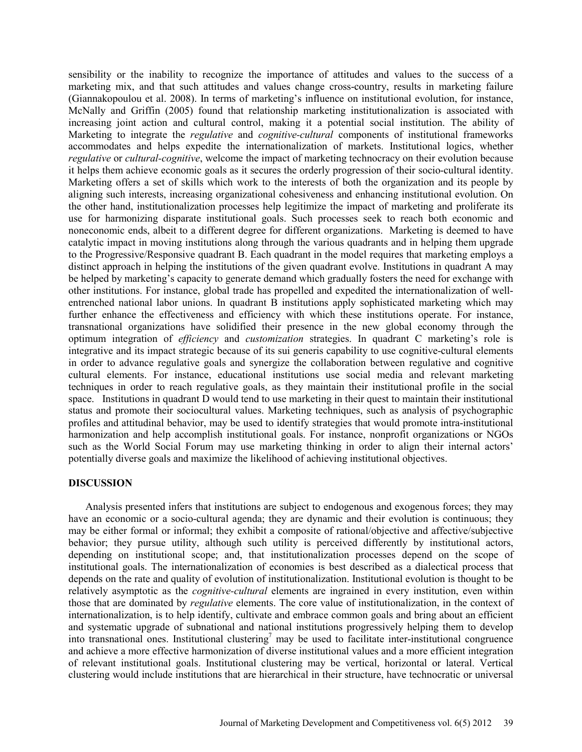sensibility or the inability to recognize the importance of attitudes and values to the success of a marketing mix, and that such attitudes and values change cross-country, results in marketing failure (Giannakopoulou et al. 2008). In terms of marketing's influence on institutional evolution, for instance, McNally and Griffin (2005) found that relationship marketing institutionalization is associated with increasing joint action and cultural control, making it a potential social institution. The ability of Marketing to integrate the *regulative* and *cognitive-cultural* components of institutional frameworks accommodates and helps expedite the internationalization of markets. Institutional logics, whether *regulative* or *cultural-cognitive*, welcome the impact of marketing technocracy on their evolution because it helps them achieve economic goals as it secures the orderly progression of their socio-cultural identity. Marketing offers a set of skills which work to the interests of both the organization and its people by aligning such interests, increasing organizational cohesiveness and enhancing institutional evolution. On the other hand, institutionalization processes help legitimize the impact of marketing and proliferate its use for harmonizing disparate institutional goals. Such processes seek to reach both economic and noneconomic ends, albeit to a different degree for different organizations. Marketing is deemed to have catalytic impact in moving institutions along through the various quadrants and in helping them upgrade to the Progressive/Responsive quadrant B. Each quadrant in the model requires that marketing employs a distinct approach in helping the institutions of the given quadrant evolve. Institutions in quadrant A may be helped by marketing's capacity to generate demand which gradually fosters the need for exchange with other institutions. For instance, global trade has propelled and expedited the internationalization of wellentrenched national labor unions. In quadrant B institutions apply sophisticated marketing which may further enhance the effectiveness and efficiency with which these institutions operate. For instance, transnational organizations have solidified their presence in the new global economy through the optimum integration of *efficiency* and *customization* strategies. In quadrant C marketing's role is integrative and its impact strategic because of its sui generis capability to use cognitive-cultural elements in order to advance regulative goals and synergize the collaboration between regulative and cognitive cultural elements. For instance, educational institutions use social media and relevant marketing techniques in order to reach regulative goals, as they maintain their institutional profile in the social space. Institutions in quadrant D would tend to use marketing in their quest to maintain their institutional status and promote their sociocultural values. Marketing techniques, such as analysis of psychographic profiles and attitudinal behavior, may be used to identify strategies that would promote intra-institutional harmonization and help accomplish institutional goals. For instance, nonprofit organizations or NGOs such as the World Social Forum may use marketing thinking in order to align their internal actors' potentially diverse goals and maximize the likelihood of achieving institutional objectives.

## **DISCUSSION**

Analysis presented infers that institutions are subject to endogenous and exogenous forces; they may have an economic or a socio-cultural agenda; they are dynamic and their evolution is continuous; they may be either formal or informal; they exhibit a composite of rational/objective and affective/subjective behavior; they pursue utility, although such utility is perceived differently by institutional actors, depending on institutional scope; and, that institutionalization processes depend on the scope of institutional goals. The internationalization of economies is best described as a dialectical process that depends on the rate and quality of evolution of institutionalization. Institutional evolution is thought to be relatively asymptotic as the *cognitive-cultural* elements are ingrained in every institution, even within those that are dominated by *regulative* elements. The core value of institutionalization, in the context of internationalization, is to help identify, cultivate and embrace common goals and bring about an efficient and systematic upgrade of subnational and national institutions progressively helping them to develop into transnational ones. Institutional clustering<sup>7</sup> may be used to facilitate inter-institutional congruence and achieve a more effective harmonization of diverse institutional values and a more efficient integration of relevant institutional goals. Institutional clustering may be vertical, horizontal or lateral. Vertical clustering would include institutions that are hierarchical in their structure, have technocratic or universal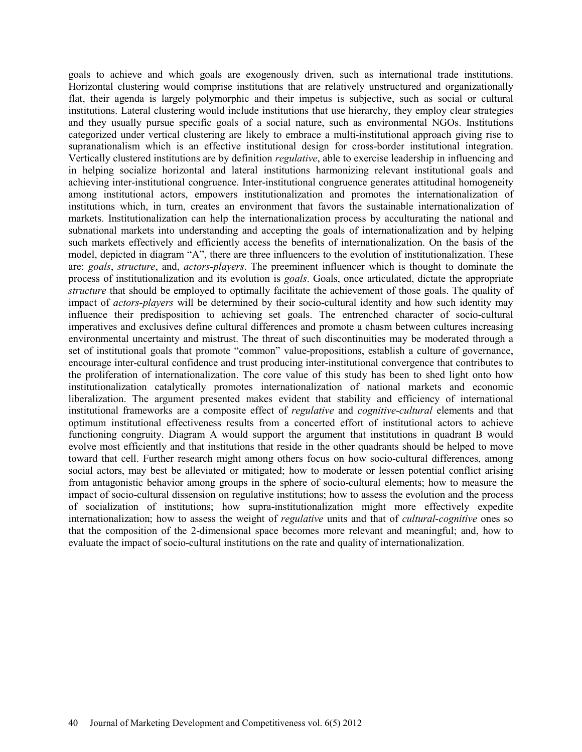goals to achieve and which goals are exogenously driven, such as international trade institutions. Horizontal clustering would comprise institutions that are relatively unstructured and organizationally flat, their agenda is largely polymorphic and their impetus is subjective, such as social or cultural institutions. Lateral clustering would include institutions that use hierarchy, they employ clear strategies and they usually pursue specific goals of a social nature, such as environmental NGOs. Institutions categorized under vertical clustering are likely to embrace a multi-institutional approach giving rise to supranationalism which is an effective institutional design for cross-border institutional integration. Vertically clustered institutions are by definition *regulative*, able to exercise leadership in influencing and in helping socialize horizontal and lateral institutions harmonizing relevant institutional goals and achieving inter-institutional congruence. Inter-institutional congruence generates attitudinal homogeneity among institutional actors, empowers institutionalization and promotes the internationalization of institutions which, in turn, creates an environment that favors the sustainable internationalization of markets. Institutionalization can help the internationalization process by acculturating the national and subnational markets into understanding and accepting the goals of internationalization and by helping such markets effectively and efficiently access the benefits of internationalization. On the basis of the model, depicted in diagram "A", there are three influencers to the evolution of institutionalization. These are: *goals*, *structure*, and, *actors-players*. The preeminent influencer which is thought to dominate the process of institutionalization and its evolution is *goals*. Goals, once articulated, dictate the appropriate *structure* that should be employed to optimally facilitate the achievement of those goals. The quality of impact of *actors-players* will be determined by their socio-cultural identity and how such identity may influence their predisposition to achieving set goals. The entrenched character of socio-cultural imperatives and exclusives define cultural differences and promote a chasm between cultures increasing environmental uncertainty and mistrust. The threat of such discontinuities may be moderated through a set of institutional goals that promote "common" value-propositions, establish a culture of governance, encourage inter-cultural confidence and trust producing inter-institutional convergence that contributes to the proliferation of internationalization. The core value of this study has been to shed light onto how institutionalization catalytically promotes internationalization of national markets and economic liberalization. The argument presented makes evident that stability and efficiency of international institutional frameworks are a composite effect of *regulative* and *cognitive-cultural* elements and that optimum institutional effectiveness results from a concerted effort of institutional actors to achieve functioning congruity. Diagram A would support the argument that institutions in quadrant B would evolve most efficiently and that institutions that reside in the other quadrants should be helped to move toward that cell. Further research might among others focus on how socio-cultural differences, among social actors, may best be alleviated or mitigated; how to moderate or lessen potential conflict arising from antagonistic behavior among groups in the sphere of socio-cultural elements; how to measure the impact of socio-cultural dissension on regulative institutions; how to assess the evolution and the process of socialization of institutions; how supra-institutionalization might more effectively expedite internationalization; how to assess the weight of *regulative* units and that of *cultural-cognitive* ones so that the composition of the 2-dimensional space becomes more relevant and meaningful; and, how to evaluate the impact of socio-cultural institutions on the rate and quality of internationalization.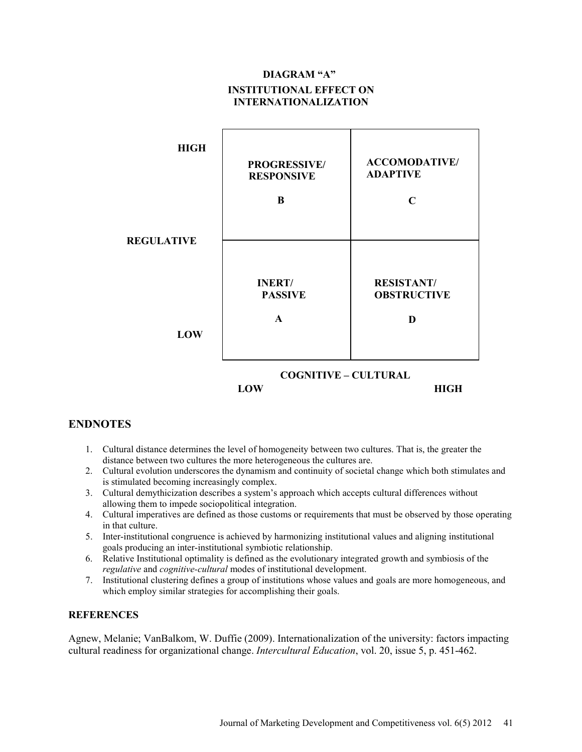## **DIAGRAM "A" INSTITUTIONAL EFFECT ON INTERNATIONALIZATION**



## **ENDNOTES**

- 1. Cultural distance determines the level of homogeneity between two cultures. That is, the greater the distance between two cultures the more heterogeneous the cultures are.
- 2. Cultural evolution underscores the dynamism and continuity of societal change which both stimulates and is stimulated becoming increasingly complex.
- 3. Cultural demythicization describes a system's approach which accepts cultural differences without allowing them to impede sociopolitical integration.
- 4. Cultural imperatives are defined as those customs or requirements that must be observed by those operating in that culture.
- 5. Inter-institutional congruence is achieved by harmonizing institutional values and aligning institutional goals producing an inter-institutional symbiotic relationship.
- 6. Relative Institutional optimality is defined as the evolutionary integrated growth and symbiosis of the *regulative* and *cognitive-cultural* modes of institutional development.
- 7. Institutional clustering defines a group of institutions whose values and goals are more homogeneous, and which employ similar strategies for accomplishing their goals.

#### **REFERENCES**

Agnew, Melanie; VanBalkom, W. Duffie (2009). Internationalization of the university: factors impacting cultural readiness for organizational change. *Intercultural Education*, vol. 20, issue 5, p. 451-462.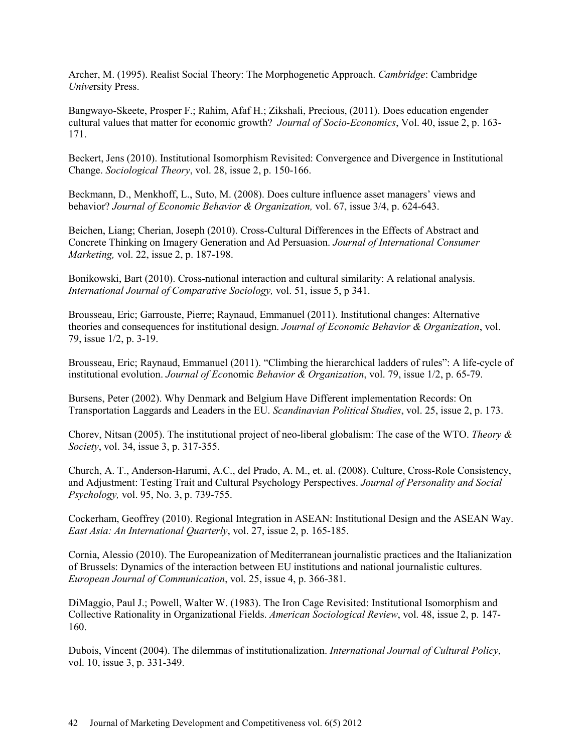Archer, M. (1995). Realist Social Theory: The Morphogenetic Approach. *Cambridge*: Cambridge *Unive*rsity Press.

Bangwayo-Skeete, Prosper F.; Rahim, Afaf H.; Zikshali, Precious, (2011). Does education engender cultural values that matter for economic growth? *Journal of Socio-Economics*, Vol. 40, issue 2, p. 163- 171.

Beckert, Jens (2010). Institutional Isomorphism Revisited: Convergence and Divergence in Institutional Change. *Sociological Theory*, vol. 28, issue 2, p. 150-166.

Beckmann, D., Menkhoff, L., Suto, M. (2008). Does culture influence asset managers' views and behavior? *Journal of Economic Behavior & Organization,* vol. 67, issue 3/4, p. 624-643.

Beichen, Liang; Cherian, Joseph (2010). Cross-Cultural Differences in the Effects of Abstract and Concrete Thinking on Imagery Generation and Ad Persuasion. *Journal of International Consumer Marketing,* vol. 22, issue 2, p. 187-198.

Bonikowski, Bart (2010). Cross-national interaction and cultural similarity: A relational analysis. *International Journal of Comparative Sociology,* vol. 51, issue 5, p 341.

Brousseau, Eric; Garrouste, Pierre; Raynaud, Emmanuel (2011). Institutional changes: Alternative theories and consequences for institutional design. *Journal of Economic Behavior & Organization*, vol. 79, issue 1/2, p. 3-19.

Brousseau, Eric; Raynaud, Emmanuel (2011). "Climbing the hierarchical ladders of rules": A life-cycle of institutional evolution. *Journal of Eco*nomic *Behavior & Organization*, vol. 79, issue 1/2, p. 65-79.

Bursens, Peter (2002). Why Denmark and Belgium Have Different implementation Records: On Transportation Laggards and Leaders in the EU. *Scandinavian Political Studies*, vol. 25, issue 2, p. 173.

Chorev, Nitsan (2005). The institutional project of neo-liberal globalism: The case of the WTO. *Theory & Society*, vol. 34, issue 3, p. 317-355.

Church, A. T., Anderson-Harumi, A.C., del Prado, A. M., et. al. (2008). Culture, Cross-Role Consistency, and Adjustment: Testing Trait and Cultural Psychology Perspectives. *Journal of Personality and Social Psychology,* vol. 95, No. 3, p. 739-755.

Cockerham, Geoffrey (2010). Regional Integration in ASEAN: Institutional Design and the ASEAN Way. *East Asia: An International Quarterly*, vol. 27, issue 2, p. 165-185.

Cornia, Alessio (2010). The Europeanization of Mediterranean journalistic practices and the Italianization of Brussels: Dynamics of the interaction between EU institutions and national journalistic cultures. *European Journal of Communication*, vol. 25, issue 4, p. 366-381.

DiMaggio, Paul J.; Powell, Walter W. (1983). The Iron Cage Revisited: Institutional Isomorphism and Collective Rationality in Organizational Fields. *American Sociological Review*, vol. 48, issue 2, p. 147- 160.

Dubois, Vincent (2004). The dilemmas of institutionalization. *International Journal of Cultural Policy*, vol. 10, issue 3, p. 331-349.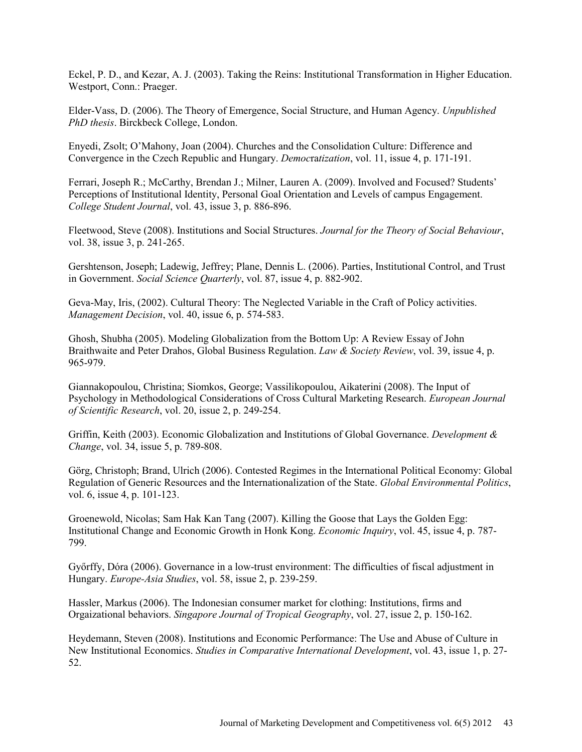Eckel, P. D., and Kezar, A. J. (2003). Taking the Reins: Institutional Transformation in Higher Education. Westport, Conn.: Praeger.

Elder-Vass, D. (2006). The Theory of Emergence, Social Structure, and Human Agency. *Unpublished PhD thesis*. Birckbeck College, London.

Enyedi, Zsolt; O'Mahony, Joan (2004). Churches and the Consolidation Culture: Difference and Convergence in the Czech Republic and Hungary. *Democ*ra*tization*, vol. 11, issue 4, p. 171-191.

Ferrari, Joseph R.; McCarthy, Brendan J.; Milner, Lauren A. (2009). Involved and Focused? Students' Perceptions of Institutional Identity, Personal Goal Orientation and Levels of campus Engagement. *College Student Journal*, vol. 43, issue 3, p. 886-896.

Fleetwood, Steve (2008). Institutions and Social Structures. *Journal for the Theory of Social Behaviour*, vol. 38, issue 3, p. 241-265.

Gershtenson, Joseph; Ladewig, Jeffrey; Plane, Dennis L. (2006). Parties, Institutional Control, and Trust in Government. *Social Science Quarterly*, vol. 87, issue 4, p. 882-902.

Geva-May, Iris, (2002). Cultural Theory: The Neglected Variable in the Craft of Policy activities. *Management Decision*, vol. 40, issue 6, p. 574-583.

Ghosh, Shubha (2005). Modeling Globalization from the Bottom Up: A Review Essay of John Braithwaite and Peter Drahos, Global Business Regulation. *Law & Society Review*, vol. 39, issue 4, p. 965-979.

Giannakopoulou, Christina; Siomkos, George; Vassilikopoulou, Aikaterini (2008). The Input of Psychology in Methodological Considerations of Cross Cultural Marketing Research. *European Journal of Scientific Research*, vol. 20, issue 2, p. 249-254.

Griffin, Keith (2003). Economic Globalization and Institutions of Global Governance. *Development & Change*, vol. 34, issue 5, p. 789-808.

Görg, Christoph; Brand, Ulrich (2006). Contested Regimes in the International Political Economy: Global Regulation of Generic Resources and the Internationalization of the State. *Global Environmental Politics*, vol. 6, issue 4, p. 101-123.

Groenewold, Nicolas; Sam Hak Kan Tang (2007). Killing the Goose that Lays the Golden Egg: Institutional Change and Economic Growth in Honk Kong. *Economic Inquiry*, vol. 45, issue 4, p. 787- 799.

Győrffy, Dóra (2006). Governance in a low-trust environment: The difficulties of fiscal adjustment in Hungary. *Europe-Asia Studies*, vol. 58, issue 2, p. 239-259.

Hassler, Markus (2006). The Indonesian consumer market for clothing: Institutions, firms and Orgaizational behaviors. *Singapore Journal of Tropical Geography*, vol. 27, issue 2, p. 150-162.

Heydemann, Steven (2008). Institutions and Economic Performance: The Use and Abuse of Culture in New Institutional Economics. *Studies in Comparative International Development*, vol. 43, issue 1, p. 27- 52.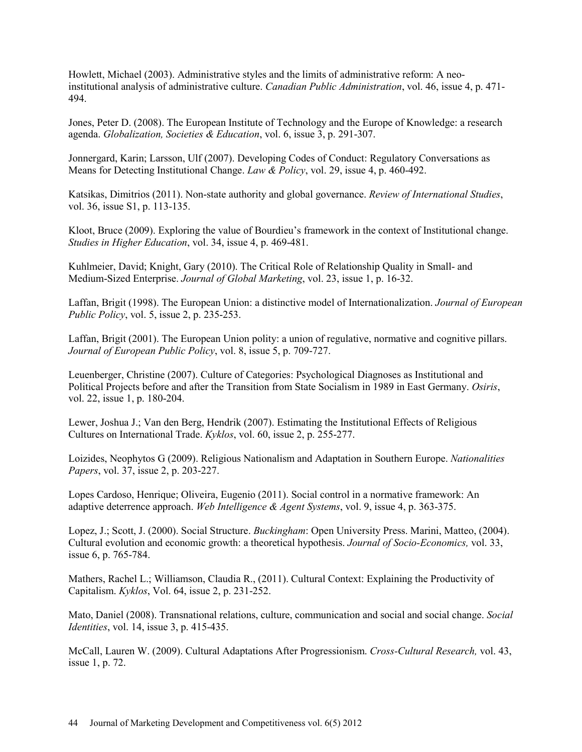Howlett, Michael (2003). Administrative styles and the limits of administrative reform: A neoinstitutional analysis of administrative culture. *Canadian Public Administration*, vol. 46, issue 4, p. 471- 494.

Jones, Peter D. (2008). The European Institute of Technology and the Europe of Knowledge: a research agenda. *Globalization, Societies & Education*, vol. 6, issue 3, p. 291-307.

Jonnergard, Karin; Larsson, Ulf (2007). Developing Codes of Conduct: Regulatory Conversations as Means for Detecting Institutional Change. *Law & Policy*, vol. 29, issue 4, p. 460-492.

Katsikas, Dimitrios (2011). Non-state authority and global governance. *Review of International Studies*, vol. 36, issue S1, p. 113-135.

Kloot, Bruce (2009). Exploring the value of Bourdieu's framework in the context of Institutional change. *Studies in Higher Education*, vol. 34, issue 4, p. 469-481.

Kuhlmeier, David; Knight, Gary (2010). The Critical Role of Relationship Quality in Small- and Medium-Sized Enterprise. *Journal of Global Marketing*, vol. 23, issue 1, p. 16-32.

Laffan, Brigit (1998). The European Union: a distinctive model of Internationalization. *Journal of European Public Policy*, vol. 5, issue 2, p. 235-253.

Laffan, Brigit (2001). The European Union polity: a union of regulative, normative and cognitive pillars. *Journal of European Public Policy*, vol. 8, issue 5, p. 709-727.

Leuenberger, Christine (2007). Culture of Categories: Psychological Diagnoses as Institutional and Political Projects before and after the Transition from State Socialism in 1989 in East Germany. *Osiris*, vol. 22, issue 1, p. 180-204.

Lewer, Joshua J.; Van den Berg, Hendrik (2007). Estimating the Institutional Effects of Religious Cultures on International Trade. *Kyklos*, vol. 60, issue 2, p. 255-277.

Loizides, Neophytos G (2009). Religious Nationalism and Adaptation in Southern Europe. *Nationalities Papers*, vol. 37, issue 2, p. 203-227.

Lopes Cardoso, Henrique; Oliveira, Eugenio (2011). Social control in a normative framework: An adaptive deterrence approach. *Web Intelligence & Agent Systems*, vol. 9, issue 4, p. 363-375.

Lopez, J.; Scott, J. (2000). Social Structure. *Buckingham*: Open University Press. Marini, Matteo, (2004). Cultural evolution and economic growth: a theoretical hypothesis. *Journal of Socio-Economics,* vol. 33, issue 6, p. 765-784.

Mathers, Rachel L.; Williamson, Claudia R., (2011). Cultural Context: Explaining the Productivity of Capitalism. *Kyklos*, Vol. 64, issue 2, p. 231-252.

Mato, Daniel (2008). Transnational relations, culture, communication and social and social change. *Social Identities*, vol. 14, issue 3, p. 415-435.

McCall, Lauren W. (2009). Cultural Adaptations After Progressionism. *Cross-Cultural Research,* vol. 43, issue 1, p. 72.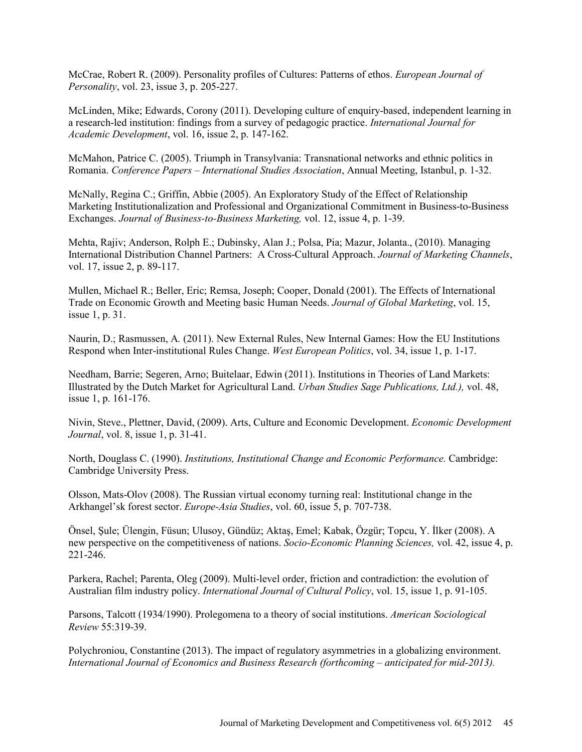McCrae, Robert R. (2009). Personality profiles of Cultures: Patterns of ethos. *European Journal of Personality*, vol. 23, issue 3, p. 205-227.

McLinden, Mike; Edwards, Corony (2011). Developing culture of enquiry-based, independent learning in a research-led institution: findings from a survey of pedagogic practice. *International Journal for Academic Development*, vol. 16, issue 2, p. 147-162.

McMahon, Patrice C. (2005). Triumph in Transylvania: Transnational networks and ethnic politics in Romania. *Conference Papers – International Studies Association*, Annual Meeting, Istanbul, p. 1-32.

McNally, Regina C.; Griffin, Abbie (2005). An Exploratory Study of the Effect of Relationship Marketing Institutionalization and Professional and Organizational Commitment in Business-to-Business Exchanges. *Journal of Business-to-Business Marketing,* vol. 12, issue 4, p. 1-39.

Mehta, Rajiv; Anderson, Rolph E.; Dubinsky, Alan J.; Polsa, Pia; Mazur, Jolanta., (2010). Managing International Distribution Channel Partners: A Cross-Cultural Approach. *Journal of Marketing Channels*, vol. 17, issue 2, p. 89-117.

Mullen, Michael R.; Beller, Eric; Remsa, Joseph; Cooper, Donald (2001). The Effects of International Trade on Economic Growth and Meeting basic Human Needs. *Journal of Global Marketing*, vol. 15, issue 1, p. 31.

Naurin, D.; Rasmussen, A*.* (2011). New External Rules, New Internal Games: How the EU Institutions Respond when Inter-institutional Rules Change. *West European Politics*, vol. 34, issue 1, p. 1-17.

Needham, Barrie; Segeren, Arno; Buitelaar, Edwin (2011). Institutions in Theories of Land Markets: Illustrated by the Dutch Market for Agricultural Land. *Urban Studies Sage Publications, Ltd.),* vol. 48, issue 1, p. 161-176.

Nivin, Steve., Plettner, David, (2009). Arts, Culture and Economic Development. *Economic Development Journal*, vol. 8, issue 1, p. 31-41.

North, Douglass C. (1990). *Institutions, Institutional Change and Economic Performance.* Cambridge: Cambridge University Press.

Olsson, Mats-Olov (2008). The Russian virtual economy turning real: Institutional change in the Arkhangel'sk forest sector. *Europe-Asia Studies*, vol. 60, issue 5, p. 707-738.

Önsel, Şule; Ülengin, Füsun; Ulusoy, Gündüz; Aktaş, Emel; Kabak, Özgür; Topcu, Y. İlker (2008). A new perspective on the competitiveness of nations. *Socio-Economic Planning Sciences,* vol. 42, issue 4, p. 221-246.

Parkera, Rachel; Parenta, Oleg (2009). Multi-level order, friction and contradiction: the evolution of Australian film industry policy. *International Journal of Cultural Policy*, vol. 15, issue 1, p. 91-105.

Parsons, Talcott (1934/1990). Prolegomena to a theory of social institutions. *American Sociological Review* 55:319-39.

Polychroniou, Constantine (2013). The impact of regulatory asymmetries in a globalizing environment. *International Journal of Economics and Business Research (forthcoming – anticipated for mid-2013).*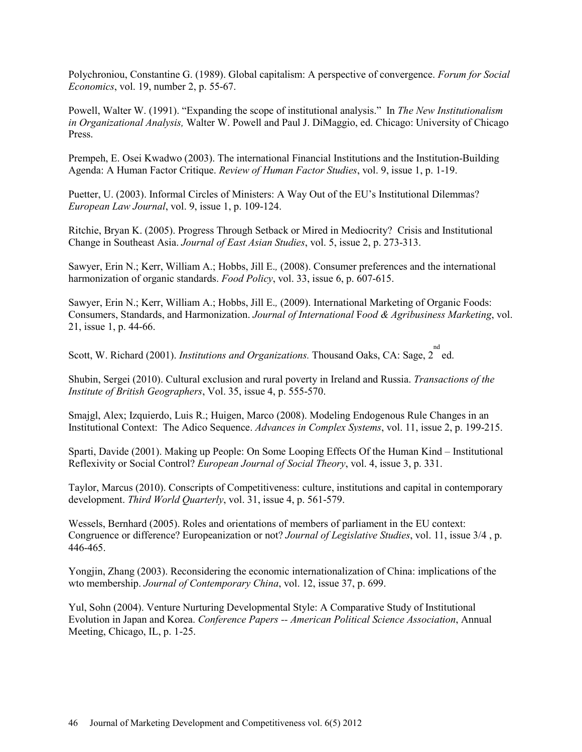Polychroniou, Constantine G. (1989). Global capitalism: A perspective of convergence. *Forum for Social Economics*, vol. 19, number 2, p. 55-67.

Powell, Walter W. (1991). "Expanding the scope of institutional analysis." In *The New Institutionalism in Organizational Analysis,* Walter W. Powell and Paul J. DiMaggio, ed. Chicago: University of Chicago Press.

Prempeh, E. Osei Kwadwo (2003). The international Financial Institutions and the Institution-Building Agenda: A Human Factor Critique. *Review of Human Factor Studies*, vol. 9, issue 1, p. 1-19.

Puetter, U. (2003). Informal Circles of Ministers: A Way Out of the EU's Institutional Dilemmas? *European Law Journal*, vol. 9, issue 1, p. 109-124.

Ritchie, Bryan K. (2005). Progress Through Setback or Mired in Mediocrity? Crisis and Institutional Change in Southeast Asia. *Journal of East Asian Studies*, vol. 5, issue 2, p. 273-313.

Sawyer, Erin N.; Kerr, William A.; Hobbs, Jill E.*,* (2008). Consumer preferences and the international harmonization of organic standards. *Food Policy*, vol. 33, issue 6, p. 607-615.

Sawyer, Erin N.; Kerr, William A.; Hobbs, Jill E.*,* (2009). International Marketing of Organic Foods: Consumers, Standards, and Harmonization. *Journal of International* F*ood & Agribusiness Marketing*, vol. 21, issue 1, p. 44-66.

Scott, W. Richard (2001). *Institutions and Organizations*. Thousand Oaks, CA: Sage, 2<sup>nd</sup> ed.

Shubin, Sergei (2010). Cultural exclusion and rural poverty in Ireland and Russia. *Transactions of the Institute of British Geographers*, Vol. 35, issue 4, p. 555-570.

Smajgl, Alex; Izquierdo, Luis R.; Huigen, Marco (2008). Modeling Endogenous Rule Changes in an Institutional Context: The Adico Sequence. *Advances in Complex Systems*, vol. 11, issue 2, p. 199-215.

Sparti, Davide (2001). Making up People: On Some Looping Effects Of the Human Kind – Institutional Reflexivity or Social Control? *European Journal of Social Theory*, vol. 4, issue 3, p. 331.

Taylor, Marcus (2010). Conscripts of Competitiveness: culture, institutions and capital in contemporary development. *Third World Quarterly*, vol. 31, issue 4, p. 561-579.

Wessels, Bernhard (2005). Roles and orientations of members of parliament in the EU context: Congruence or difference? Europeanization or not? *Journal of Legislative Studies*, vol. 11, issue 3/4 , p. 446-465.

Yongjin, Zhang (2003). Reconsidering the economic internationalization of China: implications of the wto membership. *Journal of Contemporary China*, vol. 12, issue 37, p. 699.

Yul, Sohn (2004). Venture Nurturing Developmental Style: A Comparative Study of Institutional Evolution in Japan and Korea. *Conference Papers -- American Political Science Association*, Annual Meeting, Chicago, IL, p. 1-25.